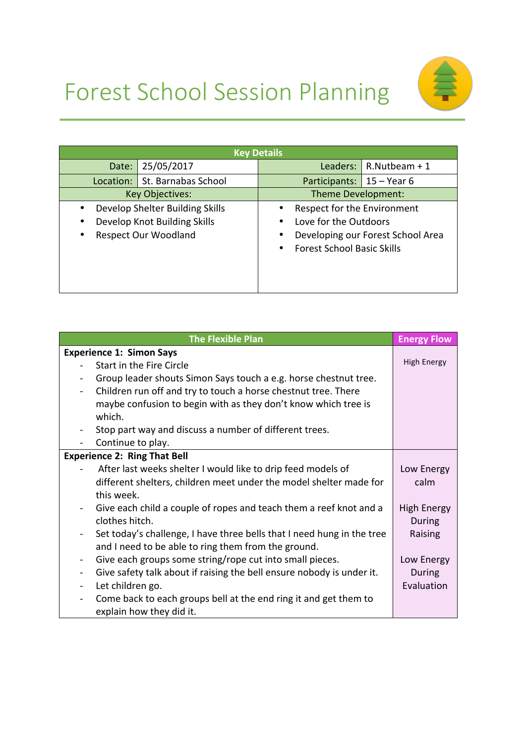



| <b>Key Details</b>                                                                                                                    |                     |                                                                                                                                                       |                             |                 |  |
|---------------------------------------------------------------------------------------------------------------------------------------|---------------------|-------------------------------------------------------------------------------------------------------------------------------------------------------|-----------------------------|-----------------|--|
| Date:                                                                                                                                 | 25/05/2017          |                                                                                                                                                       | Leaders:                    | $R.Nutbeam + 1$ |  |
| Location:                                                                                                                             | St. Barnabas School |                                                                                                                                                       | Participants:   15 – Year 6 |                 |  |
| <b>Key Objectives:</b>                                                                                                                |                     | Theme Development:                                                                                                                                    |                             |                 |  |
| Develop Shelter Building Skills<br>$\bullet$<br>Develop Knot Building Skills<br>$\bullet$<br><b>Respect Our Woodland</b><br>$\bullet$ |                     | Respect for the Environment<br>$\bullet$<br>Love for the Outdoors<br>Developing our Forest School Area<br>٠<br><b>Forest School Basic Skills</b><br>٠ |                             |                 |  |

| <b>The Flexible Plan</b>                                                                     | <b>Energy Flow</b> |
|----------------------------------------------------------------------------------------------|--------------------|
| <b>Experience 1: Simon Says</b>                                                              |                    |
| Start in the Fire Circle                                                                     | <b>High Energy</b> |
| Group leader shouts Simon Says touch a e.g. horse chestnut tree.                             |                    |
| Children run off and try to touch a horse chestnut tree. There<br>$\overline{\phantom{0}}$   |                    |
| maybe confusion to begin with as they don't know which tree is                               |                    |
| which.                                                                                       |                    |
| Stop part way and discuss a number of different trees.                                       |                    |
| Continue to play.                                                                            |                    |
| <b>Experience 2: Ring That Bell</b>                                                          |                    |
| After last weeks shelter I would like to drip feed models of                                 | Low Energy         |
| different shelters, children meet under the model shelter made for                           | calm               |
| this week.                                                                                   |                    |
| Give each child a couple of ropes and teach them a reef knot and a                           | <b>High Energy</b> |
| clothes hitch.                                                                               | During             |
| Set today's challenge, I have three bells that I need hung in the tree                       | Raising            |
| and I need to be able to ring them from the ground.                                          |                    |
| Give each groups some string/rope cut into small pieces.<br>-                                | Low Energy         |
| Give safety talk about if raising the bell ensure nobody is under it.<br>÷,                  | During             |
| Let children go.<br>$\overline{\phantom{0}}$                                                 | Evaluation         |
| Come back to each groups bell at the end ring it and get them to<br>$\overline{\phantom{0}}$ |                    |
| explain how they did it.                                                                     |                    |